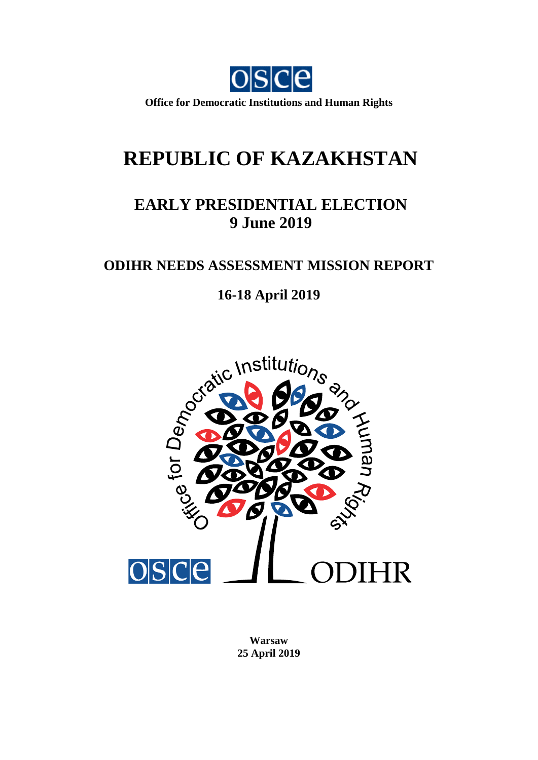

**Office for Democratic Institutions and Human Rights**

# **REPUBLIC OF KAZAKHSTAN**

# **EARLY PRESIDENTIAL ELECTION 9 June 2019**

## **ODIHR NEEDS ASSESSMENT MISSION REPORT**



**Warsaw 25 April 2019**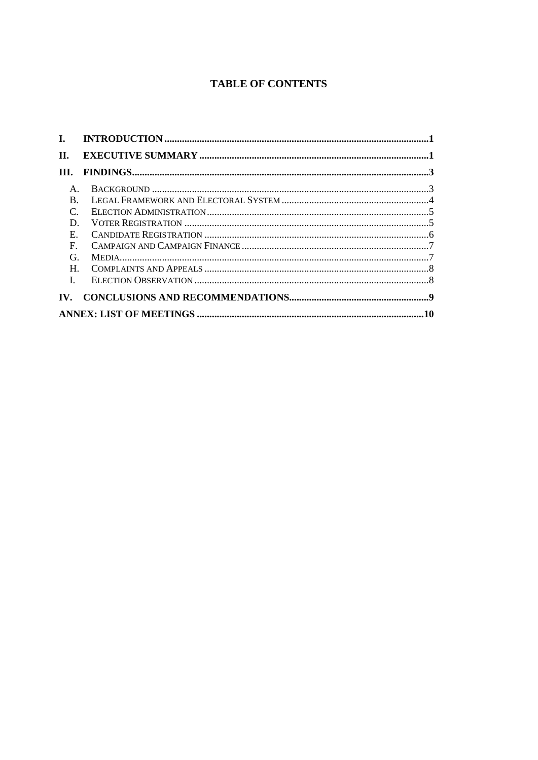### **TABLE OF CONTENTS**

| П.                    |  |  |  |
|-----------------------|--|--|--|
| TH.                   |  |  |  |
| $\mathsf{A}$ .        |  |  |  |
| $B_{\cdot}$           |  |  |  |
| $\mathcal{C}$ .       |  |  |  |
| D.                    |  |  |  |
| $E_{\rm{m}}$          |  |  |  |
| $F_{\perp}$           |  |  |  |
| G.                    |  |  |  |
| H                     |  |  |  |
| $\mathbf{L}$          |  |  |  |
| $\mathbf{IV}_{\cdot}$ |  |  |  |
|                       |  |  |  |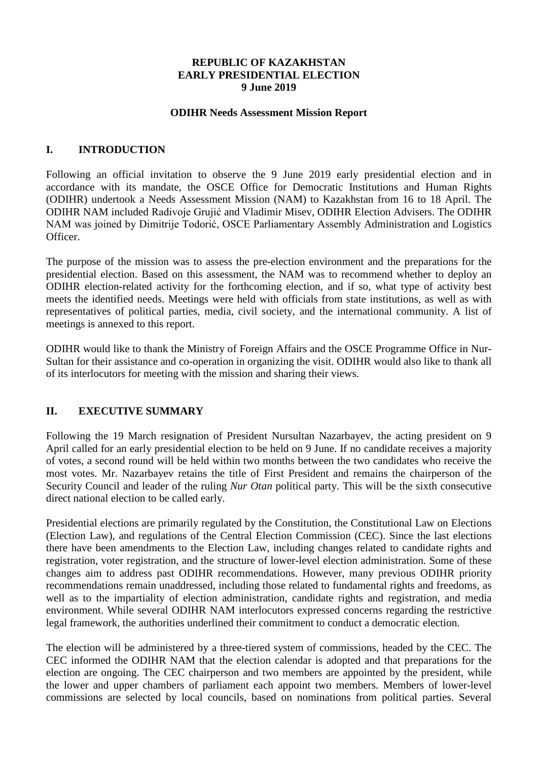#### **REPUBLIC OF KAZAKHSTAN EARLY PRESIDENTIAL ELECTION 9 June 2019**

#### **ODIHR Needs Assessment Mission Report**

#### <span id="page-2-0"></span>**I. INTRODUCTION**

Following an official invitation to observe the 9 June 2019 early presidential election and in accordance with its mandate, the OSCE Office for Democratic Institutions and Human Rights (ODIHR) undertook a Needs Assessment Mission (NAM) to Kazakhstan from 16 to 18 April. The ODIHR NAM included Radivoje Grujić and Vladimir Misev, ODIHR Election Advisers. The ODIHR NAM was joined by Dimitrije Todorić, OSCE Parliamentary Assembly Administration and Logistics Officer.

The purpose of the mission was to assess the pre-election environment and the preparations for the presidential election. Based on this assessment, the NAM was to recommend whether to deploy an ODIHR election-related activity for the forthcoming election, and if so, what type of activity best meets the identified needs. Meetings were held with officials from state institutions, as well as with representatives of political parties, media, civil society, and the international community. A list of meetings is annexed to this report.

ODIHR would like to thank the Ministry of Foreign Affairs and the OSCE Programme Office in Nur-Sultan for their assistance and co-operation in organizing the visit. ODIHR would also like to thank all of its interlocutors for meeting with the mission and sharing their views.

#### <span id="page-2-1"></span>**II. EXECUTIVE SUMMARY**

Following the 19 March resignation of President Nursultan Nazarbayev, the acting president on 9 April called for an early presidential election to be held on 9 June. If no candidate receives a majority of votes, a second round will be held within two months between the two candidates who receive the most votes. Mr. Nazarbayev retains the title of First President and remains the chairperson of the Security Council and leader of the ruling *Nur Otan* political party. This will be the sixth consecutive direct national election to be called early.

Presidential elections are primarily regulated by the Constitution, the Constitutional Law on Elections (Election Law), and regulations of the Central Election Commission (CEC). Since the last elections there have been amendments to the Election Law, including changes related to candidate rights and registration, voter registration, and the structure of lower-level election administration. Some of these changes aim to address past ODIHR recommendations. However, many previous ODIHR priority recommendations remain unaddressed, including those related to fundamental rights and freedoms, as well as to the impartiality of election administration, candidate rights and registration, and media environment. While several ODIHR NAM interlocutors expressed concerns regarding the restrictive legal framework, the authorities underlined their commitment to conduct a democratic election.

The election will be administered by a three-tiered system of commissions, headed by the CEC. The CEC informed the ODIHR NAM that the election calendar is adopted and that preparations for the election are ongoing. The CEC chairperson and two members are appointed by the president, while the lower and upper chambers of parliament each appoint two members. Members of lower-level commissions are selected by local councils, based on nominations from political parties. Several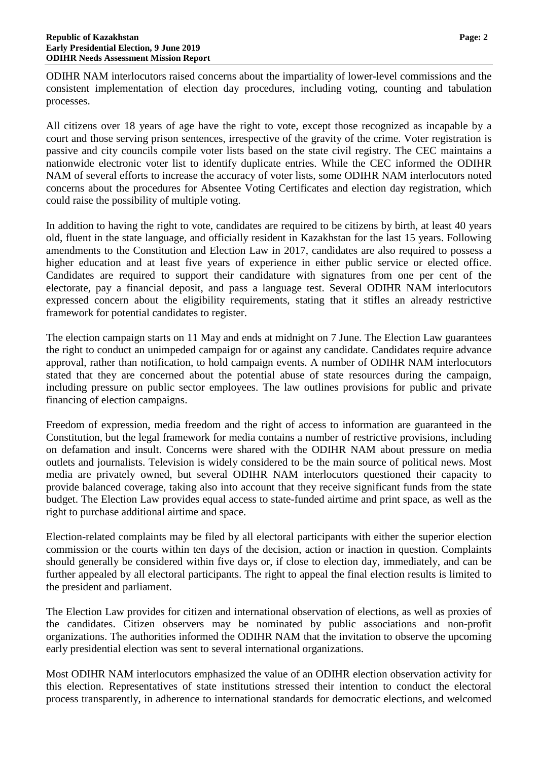ODIHR NAM interlocutors raised concerns about the impartiality of lower-level commissions and the consistent implementation of election day procedures, including voting, counting and tabulation processes.

All citizens over 18 years of age have the right to vote, except those recognized as incapable by a court and those serving prison sentences, irrespective of the gravity of the crime. Voter registration is passive and city councils compile voter lists based on the state civil registry. The CEC maintains a nationwide electronic voter list to identify duplicate entries. While the CEC informed the ODIHR NAM of several efforts to increase the accuracy of voter lists, some ODIHR NAM interlocutors noted concerns about the procedures for Absentee Voting Certificates and election day registration, which could raise the possibility of multiple voting.

In addition to having the right to vote, candidates are required to be citizens by birth, at least 40 years old, fluent in the state language, and officially resident in Kazakhstan for the last 15 years. Following amendments to the Constitution and Election Law in 2017, candidates are also required to possess a higher education and at least five years of experience in either public service or elected office. Candidates are required to support their candidature with signatures from one per cent of the electorate, pay a financial deposit, and pass a language test. Several ODIHR NAM interlocutors expressed concern about the eligibility requirements, stating that it stifles an already restrictive framework for potential candidates to register.

The election campaign starts on 11 May and ends at midnight on 7 June. The Election Law guarantees the right to conduct an unimpeded campaign for or against any candidate. Candidates require advance approval, rather than notification, to hold campaign events. A number of ODIHR NAM interlocutors stated that they are concerned about the potential abuse of state resources during the campaign, including pressure on public sector employees. The law outlines provisions for public and private financing of election campaigns.

Freedom of expression, media freedom and the right of access to information are guaranteed in the Constitution, but the legal framework for media contains a number of restrictive provisions, including on defamation and insult. Concerns were shared with the ODIHR NAM about pressure on media outlets and journalists. Television is widely considered to be the main source of political news. Most media are privately owned, but several ODIHR NAM interlocutors questioned their capacity to provide balanced coverage, taking also into account that they receive significant funds from the state budget. The Election Law provides equal access to state-funded airtime and print space, as well as the right to purchase additional airtime and space.

Election-related complaints may be filed by all electoral participants with either the superior election commission or the courts within ten days of the decision, action or inaction in question. Complaints should generally be considered within five days or, if close to election day, immediately, and can be further appealed by all electoral participants. The right to appeal the final election results is limited to the president and parliament.

The Election Law provides for citizen and international observation of elections, as well as proxies of the candidates. Citizen observers may be nominated by public associations and non-profit organizations. The authorities informed the ODIHR NAM that the invitation to observe the upcoming early presidential election was sent to several international organizations.

Most ODIHR NAM interlocutors emphasized the value of an ODIHR election observation activity for this election. Representatives of state institutions stressed their intention to conduct the electoral process transparently, in adherence to international standards for democratic elections, and welcomed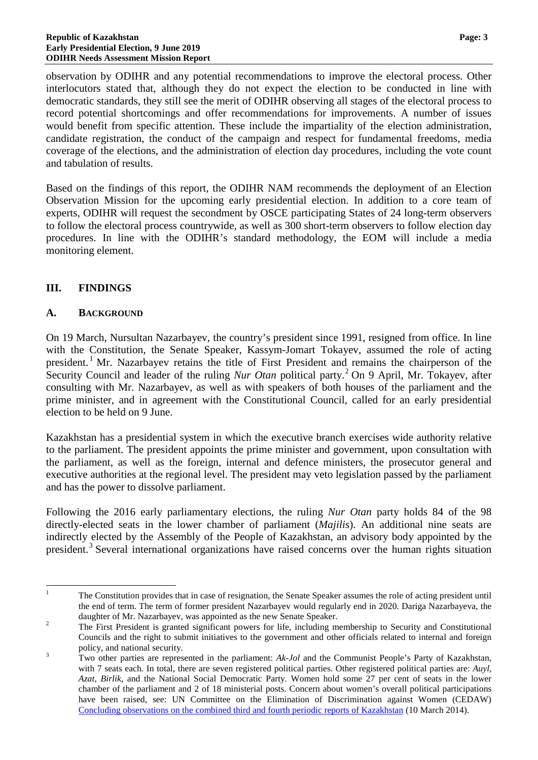observation by ODIHR and any potential recommendations to improve the electoral process. Other interlocutors stated that, although they do not expect the election to be conducted in line with democratic standards, they still see the merit of ODIHR observing all stages of the electoral process to record potential shortcomings and offer recommendations for improvements. A number of issues would benefit from specific attention. These include the impartiality of the election administration, candidate registration, the conduct of the campaign and respect for fundamental freedoms, media coverage of the elections, and the administration of election day procedures, including the vote count and tabulation of results.

Based on the findings of this report, the ODIHR NAM recommends the deployment of an Election Observation Mission for the upcoming early presidential election. In addition to a core team of experts, ODIHR will request the secondment by OSCE participating States of 24 long-term observers to follow the electoral process countrywide, as well as 300 short-term observers to follow election day procedures. In line with the ODIHR's standard methodology, the EOM will include a media monitoring element.

#### <span id="page-4-0"></span>**III. FINDINGS**

#### <span id="page-4-1"></span>**A. BACKGROUND**

On 19 March, Nursultan Nazarbayev, the country's president since 1991, resigned from office. In line with the Constitution, the Senate Speaker, Kassym-Jomart Tokayev, assumed the role of acting president.<sup>[1](#page-4-2)</sup> Mr. Nazarbayev retains the title of First President and remains the chairperson of the Security Council and leader of the ruling *Nur Otan* political party.<sup>[2](#page-4-3)</sup> On 9 April, Mr. Tokayev, after consulting with Mr. Nazarbayev, as well as with speakers of both houses of the parliament and the prime minister, and in agreement with the Constitutional Council, called for an early presidential election to be held on 9 June.

Kazakhstan has a presidential system in which the executive branch exercises wide authority relative to the parliament. The president appoints the prime minister and government, upon consultation with the parliament, as well as the foreign, internal and defence ministers, the prosecutor general and executive authorities at the regional level. The president may veto legislation passed by the parliament and has the power to dissolve parliament.

Following the 2016 early parliamentary elections, the ruling *Nur Otan* party holds 84 of the 98 directly-elected seats in the lower chamber of parliament (*Majilis*). An additional nine seats are indirectly elected by the Assembly of the People of Kazakhstan, an advisory body appointed by the president.<sup>[3](#page-4-4)</sup> Several international organizations have raised concerns over the human rights situation

<span id="page-4-2"></span><sup>&</sup>lt;sup>1</sup> The Constitution provides that in case of resignation, the Senate Speaker assumes the role of acting president until the end of term. The term of former president Nazarbayev would regularly end in 2020. Dariga Nazarbayeva, the daughter of Mr. Nazarbayev, was appointed as the new Senate Speaker.

<span id="page-4-3"></span><sup>&</sup>lt;sup>2</sup> The First President is granted significant powers for life, including membership to Security and Constitutional Councils and the right to submit initiatives to the government and other officials related to internal and foreign policy, and national security. <sup>3</sup> Two other parties are represented in the parliament: *Ak-Jol* and the Communist People's Party of Kazakhstan,

<span id="page-4-4"></span>with 7 seats each. In total, there are seven registered political parties. Other registered political parties are: *Auyl, Azat, Birlik*, and the National Social Democratic Party. Women hold some 27 per cent of seats in the lower chamber of the parliament and 2 of 18 ministerial posts. Concern about women's overall political participations have been raised, see: UN Committee on the Elimination of Discrimination against Women (CEDAW) [Concluding observations on the combined third and fourth periodic reports of Kazakhstan](https://tbinternet.ohchr.org/_layouts/treatybodyexternal/Download.aspx?symbolno=CEDAW/C/KAZ/CO/3-4&Lang=En) (10 March 2014).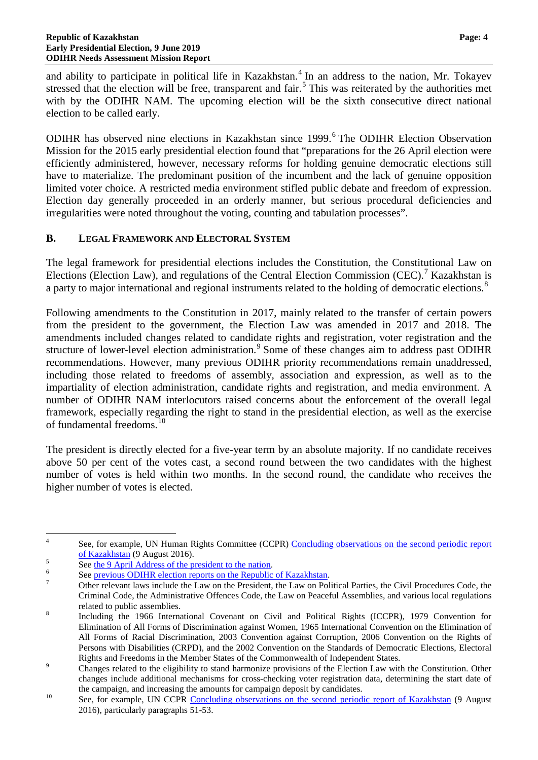and ability to participate in political life in Kazakhstan.<sup>[4](#page-5-1)</sup> In an address to the nation, Mr. Tokayev stressed that the election will be free, transparent and fair.<sup>[5](#page-5-2)</sup> This was reiterated by the authorities met with by the ODIHR NAM. The upcoming election will be the sixth consecutive direct national election to be called early.

ODIHR has observed nine elections in Kazakhstan since 1999.<sup>[6](#page-5-3)</sup> The ODIHR Election Observation Mission for the 2015 early presidential election found that "preparations for the 26 April election were efficiently administered, however, necessary reforms for holding genuine democratic elections still have to materialize. The predominant position of the incumbent and the lack of genuine opposition limited voter choice. A restricted media environment stifled public debate and freedom of expression. Election day generally proceeded in an orderly manner, but serious procedural deficiencies and irregularities were noted throughout the voting, counting and tabulation processes".

#### <span id="page-5-0"></span>**B. LEGAL FRAMEWORK AND ELECTORAL SYSTEM**

The legal framework for presidential elections includes the Constitution, the Constitutional Law on Elections (Election Law), and regulations of the Central Election Commission (CEC).<sup>[7](#page-5-4)</sup> Kazakhstan is a party to major international and regional instruments related to the holding of democratic elections.<sup>[8](#page-5-5)</sup>

Following amendments to the Constitution in 2017, mainly related to the transfer of certain powers from the president to the government, the Election Law was amended in 2017 and 2018. The amendments included changes related to candidate rights and registration, voter registration and the structure of lower-level election administration.<sup>[9](#page-5-6)</sup> Some of these changes aim to address past ODIHR recommendations. However, many previous ODIHR priority recommendations remain unaddressed, including those related to freedoms of assembly, association and expression, as well as to the impartiality of election administration, candidate rights and registration, and media environment. A number of ODIHR NAM interlocutors raised concerns about the enforcement of the overall legal framework, especially regarding the right to stand in the presidential election, as well as the exercise of fundamental freedoms. [10](#page-5-7)

The president is directly elected for a five-year term by an absolute majority. If no candidate receives above 50 per cent of the votes cast, a second round between the two candidates with the highest number of votes is held within two months. In the second round, the candidate who receives the higher number of votes is elected.

<span id="page-5-1"></span><sup>&</sup>lt;sup>4</sup> See, for example, UN Human Rights Committee (CCPR) Concluding observations on the second periodic report  $\frac{6}{5}$  See the 9 April Address of the president to the nation.<br>
See <u>the 9 April Address of the president to the nation</u>.<br>
See <u>previous ODIHR election reports on the Republic [of Kazakhstan](http://docstore.ohchr.org/SelfServices/FilesHandler.ashx?enc=6QkG1d%2fPPRiCAqhKb7yhsnVLXh7tWotjakJ2A4dlu%2fy2qfDftERdCyCiDGloD6fvzZPyCZ0wxIQtC5PKOS88usA9KTALCc%2bvYBxRUcrhBBAppOyS%2foU4aLnMIOYiy%2blt)</u>.<br>
Other relevant laws inclu

<span id="page-5-2"></span>

<span id="page-5-3"></span>

<span id="page-5-4"></span>Criminal Code, the Administrative Offences Code, the Law on Peaceful Assemblies, and various local regulations

<span id="page-5-5"></span>related to public assemblies.<br><sup>8</sup> Including the 1966 International Covenant on Civil and Political Rights (ICCPR), 1979 Convention for Elimination of All Forms of Discrimination against Women, 1965 International Convention on the Elimination of All Forms of Racial Discrimination, 2003 Convention against Corruption, 2006 Convention on the Rights of Persons with Disabilities (CRPD), and the 2002 Convention on the Standards of Democratic Elections, Electoral

<span id="page-5-6"></span>Rights and Freedoms in the Member States of the Commonwealth of Independent States.<br><sup>9</sup> Changes related to the eligibility to stand harmonize provisions of the Election Law with the Constitution. Other changes include additional mechanisms for cross-checking voter registration data, determining the start date of

<span id="page-5-7"></span>the campaign, and increasing the amounts for campaign deposit by candidates.<br><sup>10</sup> See, for example, UN CCPR [Concluding observations on the second periodic report of Kazakhstan](http://docstore.ohchr.org/SelfServices/FilesHandler.ashx?enc=6QkG1d%2fPPRiCAqhKb7yhsnVLXh7tWotjakJ2A4dlu%2fy2qfDftERdCyCiDGloD6fvzZPyCZ0wxIQtC5PKOS88usA9KTALCc%2bvYBxRUcrhBBAppOyS%2foU4aLnMIOYiy%2blt) (9 August 2016), particularly paragraphs 51-53.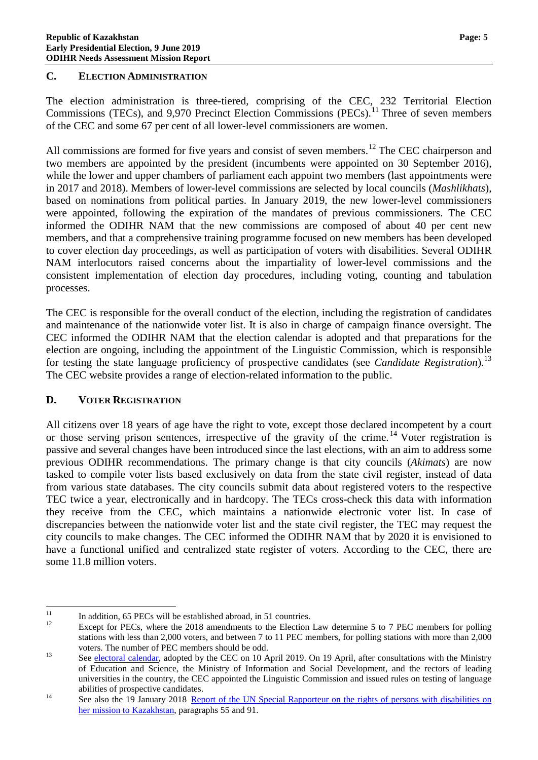#### <span id="page-6-0"></span>**C. ELECTION ADMINISTRATION**

The election administration is three-tiered, comprising of the CEC, 232 Territorial Election Commissions (TECs), and 9,970 Precinct Election Commissions (PECs).<sup>[11](#page-6-2)</sup> Three of seven members of the CEC and some 67 per cent of all lower-level commissioners are women.

All commissions are formed for five years and consist of seven members.<sup>[12](#page-6-3)</sup> The CEC chairperson and two members are appointed by the president (incumbents were appointed on 30 September 2016), while the lower and upper chambers of parliament each appoint two members (last appointments were in 2017 and 2018). Members of lower-level commissions are selected by local councils (*Mashlikhats*), based on nominations from political parties. In January 2019, the new lower-level commissioners were appointed, following the expiration of the mandates of previous commissioners. The CEC informed the ODIHR NAM that the new commissions are composed of about 40 per cent new members, and that a comprehensive training programme focused on new members has been developed to cover election day proceedings, as well as participation of voters with disabilities. Several ODIHR NAM interlocutors raised concerns about the impartiality of lower-level commissions and the consistent implementation of election day procedures, including voting, counting and tabulation processes.

The CEC is responsible for the overall conduct of the election, including the registration of candidates and maintenance of the nationwide voter list. It is also in charge of campaign finance oversight. The CEC informed the ODIHR NAM that the election calendar is adopted and that preparations for the election are ongoing, including the appointment of the Linguistic Commission, which is responsible for testing the state language proficiency of prospective candidates (see *Candidate Registration*).<sup>[13](#page-6-4)</sup> The CEC website provides a range of election-related information to the public.

#### <span id="page-6-1"></span>**D. VOTER REGISTRATION**

All citizens over 18 years of age have the right to vote, except those declared incompetent by a court or those serving prison sentences, irrespective of the gravity of the crime.<sup>[14](#page-6-5)</sup> Voter registration is passive and several changes have been introduced since the last elections, with an aim to address some previous ODIHR recommendations. The primary change is that city councils (*Akimats*) are now tasked to compile voter lists based exclusively on data from the state civil register, instead of data from various state databases. The city councils submit data about registered voters to the respective TEC twice a year, electronically and in hardcopy. The TECs cross-check this data with information they receive from the CEC, which maintains a nationwide electronic voter list. In case of discrepancies between the nationwide voter list and the state civil register, the TEC may request the city councils to make changes. The CEC informed the ODIHR NAM that by 2020 it is envisioned to have a functional unified and centralized state register of voters. According to the CEC, there are some 11.8 million voters.

<span id="page-6-3"></span>

<span id="page-6-2"></span><sup>&</sup>lt;sup>11</sup> In addition, 65 PECs will be established abroad, in 51 countries.<br><sup>12</sup> Except for PECs, where the 2018 amendments to the Election Law determine 5 to 7 PEC members for polling stations with less than 2,000 voters, and between 7 to 11 PEC members, for polling stations with more than 2,000

<span id="page-6-4"></span>voters. The number of PEC members should be odd.<br><sup>13</sup> See [electoral calendar,](https://www.election.gov.kz/rus/news/acts/index.php?ID=4628) adopted by the CEC on 10 April 2019. On 19 April, after consultations with the Ministry of Education and Science, the Ministry of Information and Social Development, and the rectors of leading universities in the country, the CEC appointed the Linguistic Commission and issued rules on testing of language

<span id="page-6-5"></span>abilities of prospective candidates.<br>
14 See also the 19 January 2018 Report of the UN Special Rapporteur on the rights of persons with disabilities on [her mission to Kazakhstan,](https://documents-dds-ny.un.org/doc/UNDOC/GEN/G18/014/75/PDF/G1801475.pdf?OpenElement) paragraphs 55 and 91.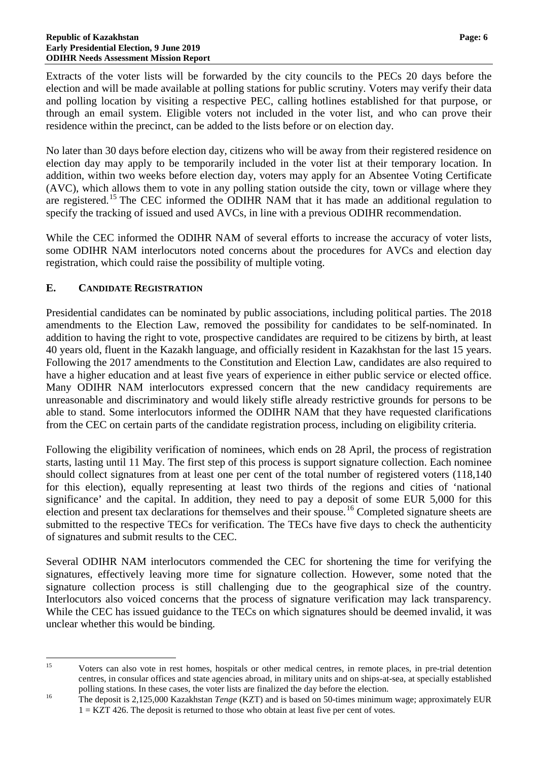Extracts of the voter lists will be forwarded by the city councils to the PECs 20 days before the election and will be made available at polling stations for public scrutiny. Voters may verify their data and polling location by visiting a respective PEC, calling hotlines established for that purpose, or through an email system. Eligible voters not included in the voter list, and who can prove their residence within the precinct, can be added to the lists before or on election day.

No later than 30 days before election day, citizens who will be away from their registered residence on election day may apply to be temporarily included in the voter list at their temporary location. In addition, within two weeks before election day, voters may apply for an Absentee Voting Certificate (AVC), which allows them to vote in any polling station outside the city, town or village where they are registered.<sup>[15](#page-7-1)</sup> The CEC informed the ODIHR NAM that it has made an additional regulation to specify the tracking of issued and used AVCs, in line with a previous ODIHR recommendation.

While the CEC informed the ODIHR NAM of several efforts to increase the accuracy of voter lists, some ODIHR NAM interlocutors noted concerns about the procedures for AVCs and election day registration, which could raise the possibility of multiple voting.

#### <span id="page-7-0"></span>**E. CANDIDATE REGISTRATION**

Presidential candidates can be nominated by public associations, including political parties. The 2018 amendments to the Election Law, removed the possibility for candidates to be self-nominated. In addition to having the right to vote, prospective candidates are required to be citizens by birth, at least 40 years old, fluent in the Kazakh language, and officially resident in Kazakhstan for the last 15 years. Following the 2017 amendments to the Constitution and Election Law, candidates are also required to have a higher education and at least five years of experience in either public service or elected office. Many ODIHR NAM interlocutors expressed concern that the new candidacy requirements are unreasonable and discriminatory and would likely stifle already restrictive grounds for persons to be able to stand. Some interlocutors informed the ODIHR NAM that they have requested clarifications from the CEC on certain parts of the candidate registration process, including on eligibility criteria.

Following the eligibility verification of nominees, which ends on 28 April, the process of registration starts, lasting until 11 May. The first step of this process is support signature collection. Each nominee should collect signatures from at least one per cent of the total number of registered voters (118,140 for this election), equally representing at least two thirds of the regions and cities of 'national significance' and the capital. In addition, they need to pay a deposit of some EUR 5,000 for this election and present tax declarations for themselves and their spouse.<sup>[16](#page-7-2)</sup> Completed signature sheets are submitted to the respective TECs for verification. The TECs have five days to check the authenticity of signatures and submit results to the CEC.

Several ODIHR NAM interlocutors commended the CEC for shortening the time for verifying the signatures, effectively leaving more time for signature collection. However, some noted that the signature collection process is still challenging due to the geographical size of the country. Interlocutors also voiced concerns that the process of signature verification may lack transparency. While the CEC has issued guidance to the TECs on which signatures should be deemed invalid, it was unclear whether this would be binding.

<span id="page-7-1"></span><sup>&</sup>lt;sup>15</sup> Voters can also vote in rest homes, hospitals or other medical centres, in remote places, in pre-trial detention centres, in consular offices and state agencies abroad, in military units and on ships-at-sea, at specially established

<span id="page-7-2"></span>polling stations. In these cases, the voter lists are finalized the day before the election.<br><sup>16</sup> The deposit is 2,125,000 Kazakhstan *Tenge* (KZT) and is based on 50-times minimum wage; approximately EUR  $1 = KZT$  426. The deposit is returned to those who obtain at least five per cent of votes.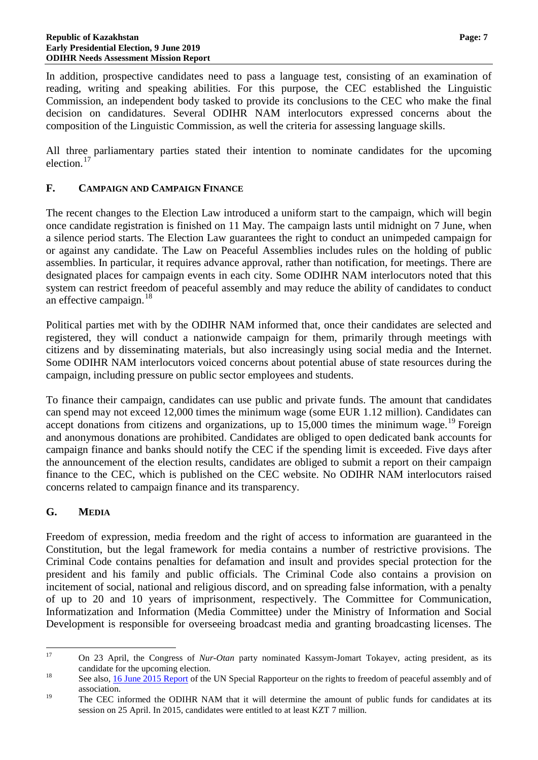In addition, prospective candidates need to pass a language test, consisting of an examination of reading, writing and speaking abilities. For this purpose, the CEC established the Linguistic Commission, an independent body tasked to provide its conclusions to the CEC who make the final decision on candidatures. Several ODIHR NAM interlocutors expressed concerns about the composition of the Linguistic Commission, as well the criteria for assessing language skills.

All three parliamentary parties stated their intention to nominate candidates for the upcoming election. [17](#page-8-2)

#### <span id="page-8-0"></span>**F. CAMPAIGN AND CAMPAIGN FINANCE**

The recent changes to the Election Law introduced a uniform start to the campaign, which will begin once candidate registration is finished on 11 May. The campaign lasts until midnight on 7 June, when a silence period starts. The Election Law guarantees the right to conduct an unimpeded campaign for or against any candidate. The Law on Peaceful Assemblies includes rules on the holding of public assemblies. In particular, it requires advance approval, rather than notification, for meetings. There are designated places for campaign events in each city. Some ODIHR NAM interlocutors noted that this system can restrict freedom of peaceful assembly and may reduce the ability of candidates to conduct an effective campaign.<sup>[18](#page-8-3)</sup>

Political parties met with by the ODIHR NAM informed that, once their candidates are selected and registered, they will conduct a nationwide campaign for them, primarily through meetings with citizens and by disseminating materials, but also increasingly using social media and the Internet. Some ODIHR NAM interlocutors voiced concerns about potential abuse of state resources during the campaign, including pressure on public sector employees and students.

To finance their campaign, candidates can use public and private funds. The amount that candidates can spend may not exceed 12,000 times the minimum wage (some EUR 1.12 million). Candidates can accept donations from citizens and organizations, up to 15,000 times the minimum wage.<sup>[19](#page-8-4)</sup> Foreign and anonymous donations are prohibited. Candidates are obliged to open dedicated bank accounts for campaign finance and banks should notify the CEC if the spending limit is exceeded. Five days after the announcement of the election results, candidates are obliged to submit a report on their campaign finance to the CEC, which is published on the CEC website. No ODIHR NAM interlocutors raised concerns related to campaign finance and its transparency.

#### <span id="page-8-1"></span>**G. MEDIA**

Freedom of expression, media freedom and the right of access to information are guaranteed in the Constitution, but the legal framework for media contains a number of restrictive provisions. The Criminal Code contains penalties for defamation and insult and provides special protection for the president and his family and public officials. The Criminal Code also contains a provision on incitement of social, national and religious discord, and on spreading false information, with a penalty of up to 20 and 10 years of imprisonment, respectively. The Committee for Communication, Informatization and Information (Media Committee) under the Ministry of Information and Social Development is responsible for overseeing broadcast media and granting broadcasting licenses. The

<span id="page-8-2"></span> <sup>17</sup> On 23 April, the Congress of *Nur-Otan* party nominated Kassym-Jomart Tokayev, acting president, as its candidate for the upcoming election.<br><sup>18</sup> See also, <u>16 June 2015 Report</u> of the UN Special Rapporteur on the rights to freedom of peaceful assembly and of

<span id="page-8-3"></span>

<span id="page-8-4"></span>association.<br><sup>19</sup> The CEC informed the ODIHR NAM that it will determine the amount of public funds for candidates at its session on 25 April. In 2015, candidates were entitled to at least KZT 7 million.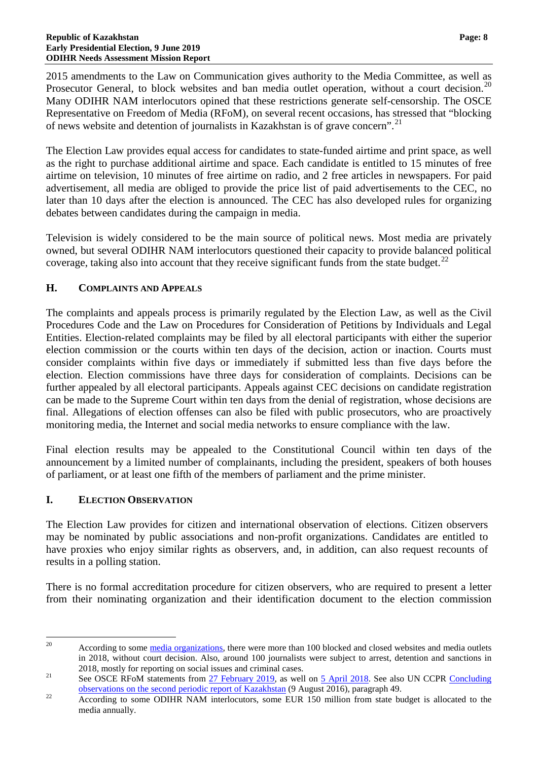2015 amendments to the Law on Communication gives authority to the Media Committee, as well as Prosecutor General, to block websites and ban media outlet operation, without a court decision.<sup>[20](#page-9-2)</sup> Many ODIHR NAM interlocutors opined that these restrictions generate self-censorship. The OSCE Representative on Freedom of Media (RFoM), on several recent occasions, has stressed that "blocking of news website and detention of journalists in Kazakhstan is of grave concern". [21](#page-9-3)

The Election Law provides equal access for candidates to state-funded airtime and print space, as well as the right to purchase additional airtime and space. Each candidate is entitled to 15 minutes of free airtime on television, 10 minutes of free airtime on radio, and 2 free articles in newspapers. For paid advertisement, all media are obliged to provide the price list of paid advertisements to the CEC, no later than 10 days after the election is announced. The CEC has also developed rules for organizing debates between candidates during the campaign in media.

Television is widely considered to be the main source of political news. Most media are privately owned, but several ODIHR NAM interlocutors questioned their capacity to provide balanced political coverage, taking also into account that they receive significant funds from the state budget. $^{22}$  $^{22}$  $^{22}$ 

#### <span id="page-9-0"></span>**H. COMPLAINTS AND APPEALS**

The complaints and appeals process is primarily regulated by the Election Law, as well as the Civil Procedures Code and the Law on Procedures for Consideration of Petitions by Individuals and Legal Entities. Election-related complaints may be filed by all electoral participants with either the superior election commission or the courts within ten days of the decision, action or inaction. Courts must consider complaints within five days or immediately if submitted less than five days before the election. Election commissions have three days for consideration of complaints. Decisions can be further appealed by all electoral participants. Appeals against CEC decisions on candidate registration can be made to the Supreme Court within ten days from the denial of registration, whose decisions are final. Allegations of election offenses can also be filed with public prosecutors, who are proactively monitoring media, the Internet and social media networks to ensure compliance with the law.

Final election results may be appealed to the Constitutional Council within ten days of the announcement by a limited number of complainants, including the president, speakers of both houses of parliament, or at least one fifth of the members of parliament and the prime minister.

#### <span id="page-9-1"></span>**I. ELECTION OBSERVATION**

The Election Law provides for citizen and international observation of elections. Citizen observers may be nominated by public associations and non-profit organizations. Candidates are entitled to have proxies who enjoy similar rights as observers, and, in addition, can also request recounts of results in a polling station.

There is no formal accreditation procedure for citizen observers, who are required to present a letter from their nominating organization and their identification document to the election commission

<span id="page-9-2"></span><sup>&</sup>lt;sup>20</sup> According to some [media organizations,](http://www.adilsoz.kz/politcor/show/id/243) there were more than 100 blocked and closed websites and media outlets in 2018, without court decision. Also, around 100 journalists were subject to arrest, detention and sanctions in 2018, mostly for reporting on social issues and criminal cases.<br>
21 See OSCE RFoM statements from [27 February 2019,](https://www.osce.org/representative-on-freedom-of-media/412628) as well on [5 April 2018.](https://www.osce.org/representative-on-freedom-of-media/376966%20-%205%20April%202018) See also UN CCPR Concluding

<span id="page-9-3"></span>[observations on the second periodic report of Kazakhstan](http://docstore.ohchr.org/SelfServices/FilesHandler.ashx?enc=6QkG1d%2fPPRiCAqhKb7yhsglff%2fiazrVw%2bcyfdY9GxZ5QkEBP2cneNs2YjJsz660CWBV%2fwg5VYBR%2f4pywlhMDlADniFM9MHVbYb%2bYRPQRz1a3mNF%2fthNx4oUQAHt9XnNLv7FfK2XY5zWgvW%2f5IBIQAQ%3d%3d) (9 August 2016), paragraph 49.<br>22 According to some ODIHR NAM interlocutors, some EUR 150 million from state budget is allocated to the

<span id="page-9-4"></span>media annually.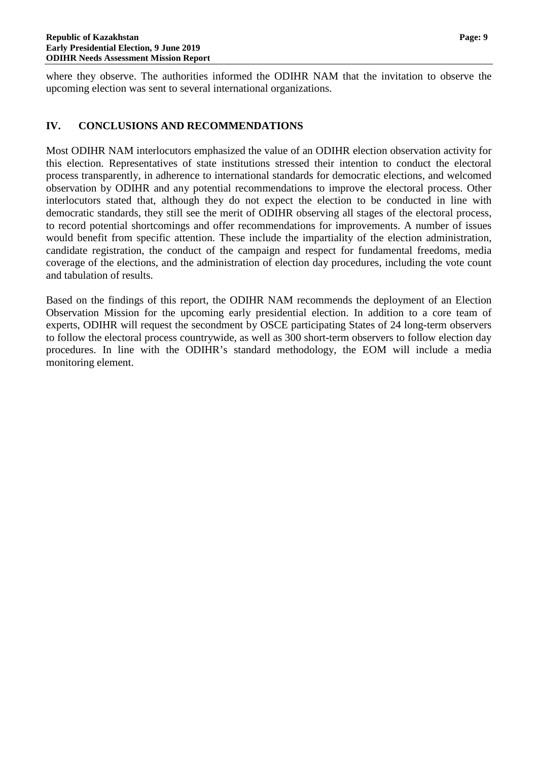where they observe. The authorities informed the ODIHR NAM that the invitation to observe the upcoming election was sent to several international organizations.

#### <span id="page-10-0"></span>**IV. CONCLUSIONS AND RECOMMENDATIONS**

Most ODIHR NAM interlocutors emphasized the value of an ODIHR election observation activity for this election. Representatives of state institutions stressed their intention to conduct the electoral process transparently, in adherence to international standards for democratic elections, and welcomed observation by ODIHR and any potential recommendations to improve the electoral process. Other interlocutors stated that, although they do not expect the election to be conducted in line with democratic standards, they still see the merit of ODIHR observing all stages of the electoral process, to record potential shortcomings and offer recommendations for improvements. A number of issues would benefit from specific attention. These include the impartiality of the election administration, candidate registration, the conduct of the campaign and respect for fundamental freedoms, media coverage of the elections, and the administration of election day procedures, including the vote count and tabulation of results.

Based on the findings of this report, the ODIHR NAM recommends the deployment of an Election Observation Mission for the upcoming early presidential election. In addition to a core team of experts, ODIHR will request the secondment by OSCE participating States of 24 long-term observers to follow the electoral process countrywide, as well as 300 short-term observers to follow election day procedures. In line with the ODIHR's standard methodology, the EOM will include a media monitoring element.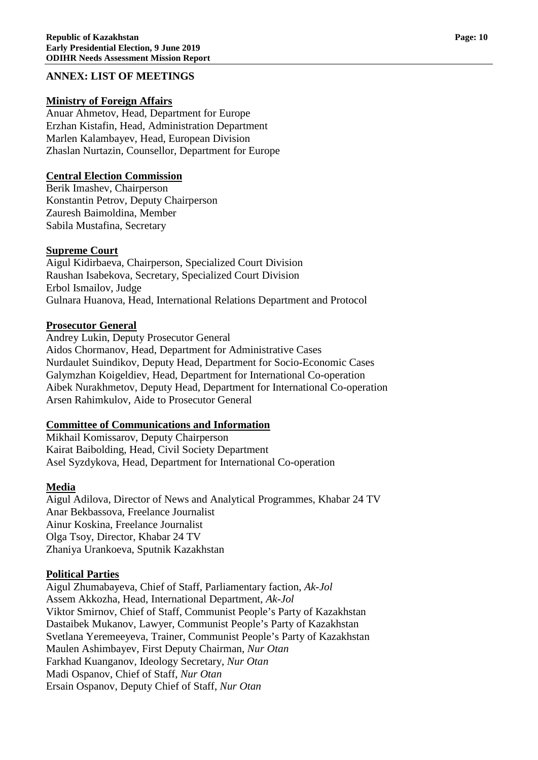#### <span id="page-11-0"></span>**ANNEX: LIST OF MEETINGS**

#### **Ministry of Foreign Affairs**

Anuar Ahmetov, Head, Department for Europe Erzhan Kistafin, Head, Administration Department Marlen Kalambayev, Head, European Division Zhaslan Nurtazin, Counsellor, Department for Europe

#### **Central Election Commission**

Berik Imashev, Chairperson Konstantin Petrov, Deputy Chairperson Zauresh Baimoldina, Member Sabila Mustafina, Secretary

#### **Supreme Court**

Aigul Kidirbaeva, Chairperson, Specialized Court Division Raushan Isabekova, Secretary, Specialized Court Division Erbol Ismailov, Judge Gulnara Huanova, Head, International Relations Department and Protocol

#### **Prosecutor General**

Andrey Lukin, Deputy Prosecutor General Aidos Chormanov, Head, Department for Administrative Cases Nurdaulet Suindikov, Deputy Head, Department for Socio-Economic Cases Galymzhan Koigeldiev, Head, Department for International Co-operation Aibek Nurakhmetov, Deputy Head, Department for International Co-operation Arsen Rahimkulov, Aide to Prosecutor General

#### **Committee of Communications and Information**

Mikhail Komissarov, Deputy Chairperson Kairat Baibolding, Head, Civil Society Department Asel Syzdykova, Head, Department for International Co-operation

#### **Media**

Aigul Adilova, Director of News and Analytical Programmes, Khabar 24 TV Anar Bekbassova, Freelance Journalist Ainur Koskina, Freelance Journalist Olga Tsoy, Director, Khabar 24 TV Zhaniya Urankoeva, Sputnik Kazakhstan

#### **Political Parties**

Aigul Zhumabayeva, Chief of Staff, Parliamentary faction, *Ak-Jol* Assem Akkozha, Head, International Department, *Ak-Jol* Viktor Smirnov, Chief of Staff, Communist People's Party of Kazakhstan Dastaibek Mukanov, Lawyer, Communist People's Party of Kazakhstan Svetlana Yeremeeyeva, Trainer, Communist People's Party of Kazakhstan Maulen Ashimbayev, First Deputy Chairman, *Nur Otan* Farkhad Kuanganov, Ideology Secretary, *Nur Otan* Madi Ospanov, Chief of Staff, *Nur Otan* Ersain Ospanov, Deputy Chief of Staff, *Nur Otan*